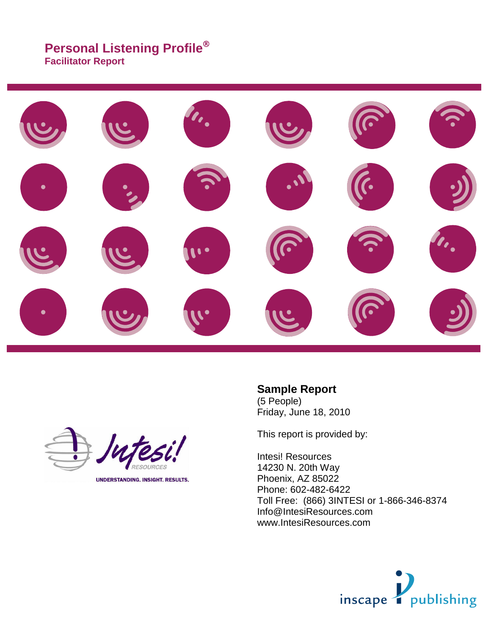# **Personal Listening Profile**

**Facilitator Report**





**UNDERSTANDING. INSIGHT. RESULTS.** 

### **Sample Report**

(5 People) Friday, June 18, 2010

This report is provided by:

Intesi! Resources 14230 N. 20th Way Phoenix, AZ 85022 Phone: 602-482-6422 Toll Free: (866) 3INTESI or 1-866-346-8374 Info@IntesiResources.com www.IntesiResources.com

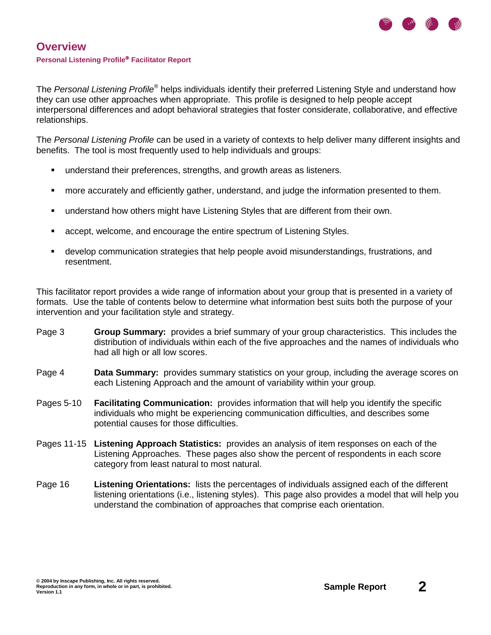

The Personal Listening Profile<sup>®</sup> helps individuals identify their preferred Listening Style and understand how they can use other approaches when appropriate. This profile is designed to help people accept interpersonal differences and adopt behavioral strategies that foster considerate, collaborative, and effective relationships.

The Personal Listening Profile can be used in a variety of contexts to help deliver many different insights and benefits. The tool is most frequently used to help individuals and groups:

- understand their preferences, strengths, and growth areas as listeners.
- more accurately and efficiently gather, understand, and judge the information presented to them.
- understand how others might have Listening Styles that are different from their own.
- accept, welcome, and encourage the entire spectrum of Listening Styles.
- develop communication strategies that help people avoid misunderstandings, frustrations, and resentment.

This facilitator report provides a wide range of information about your group that is presented in a variety of formats. Use the table of contents below to determine what information best suits both the purpose of your intervention and your facilitation style and strategy.

- Page 3 **Group Summary:** provides a brief summary of your group characteristics. This includes the distribution of individuals within each of the five approaches and the names of individuals who had all high or all low scores.
- Page 4 **Data Summary:** provides summary statistics on your group, including the average scores on each Listening Approach and the amount of variability within your group.
- Pages 5-10 **Facilitating Communication:** provides information that will help you identify the specific individuals who might be experiencing communication difficulties, and describes some potential causes for those difficulties.
- Pages 11-15 **Listening Approach Statistics:** provides an analysis of item responses on each of the Listening Approaches. These pages also show the percent of respondents in each score category from least natural to most natural.
- Page 16 **Listening Orientations:** lists the percentages of individuals assigned each of the different listening orientations (i.e., listening styles). This page also provides a model that will help you understand the combination of approaches that comprise each orientation.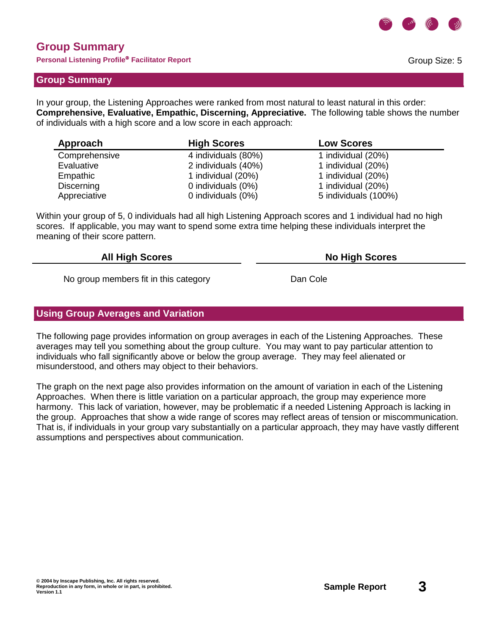

# **Group Summary**

**Personal Listening Profile Facilitator Report**

### **Group Summary**

In your group, the Listening Approaches were ranked from most natural to least natural in this order: **Comprehensive, Evaluative, Empathic, Discerning, Appreciative.** The following table shows the number of individuals with a high score and a low score in each approach:

| Approach      | <b>High Scores</b>  | <b>Low Scores</b>    |
|---------------|---------------------|----------------------|
| Comprehensive | 4 individuals (80%) | 1 individual (20%)   |
| Evaluative    | 2 individuals (40%) | 1 individual (20%)   |
| Empathic      | 1 individual (20%)  | 1 individual (20%)   |
| Discerning    | 0 individuals (0%)  | 1 individual (20%)   |
| Appreciative  | 0 individuals (0%)  | 5 individuals (100%) |

Within your group of 5, 0 individuals had all high Listening Approach scores and 1 individual had no high scores. If applicable, you may want to spend some extra time helping these individuals interpret the meaning of their score pattern.

#### **All High Scores No High Scores**

No group members fit in this category **Example 20** Dan Cole

### **Using Group Averages and Variation**

The following page provides information on group averages in each of the Listening Approaches. These averages may tell you something about the group culture. You may want to pay particular attention to individuals who fall significantly above or below the group average. They may feel alienated or misunderstood, and others may object to their behaviors.

The graph on the next page also provides information on the amount of variation in each of the Listening Approaches. When there is little variation on a particular approach, the group may experience more harmony. This lack of variation, however, may be problematic if a needed Listening Approach is lacking in the group. Approaches that show a wide range of scores may reflect areas of tension or miscommunication. That is, if individuals in your group vary substantially on a particular approach, they may have vastly different assumptions and perspectives about communication.

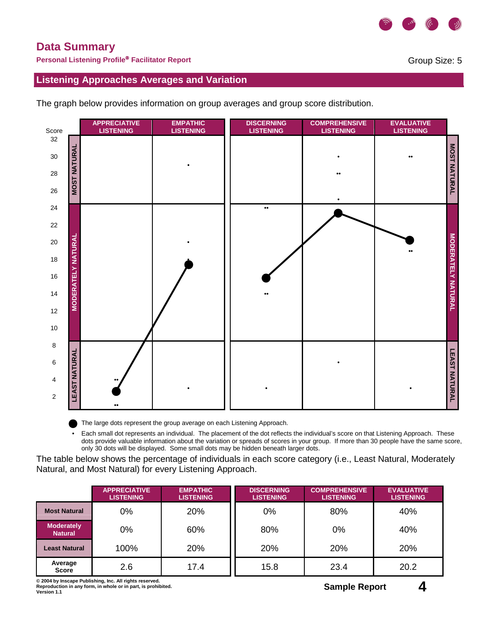

# **Data Summary**

**Personal Listening Profile Facilitator Report**

Group Size: 5

**Listening Approaches Averages and Variation**

The graph below provides information on group averages and group score distribution.



The large dots represent the group average on each Listening Approach.

 • Each small dot represents an individual. The placement of the dot reflects the individual's score on that Listening Approach. These dots provide valuable information about the variation or spreads of scores in your group. If more than 30 people have the same score, only 30 dots will be displayed. Some small dots may be hidden beneath larger dots.

The table below shows the percentage of individuals in each score category (i.e., Least Natural, Moderately Natural, and Most Natural) for every Listening Approach.

|                                     | <b>APPRECIATIVE</b><br><b>LISTENING</b> | <b>EMPATHIC</b><br><b>LISTENING</b> | <b>DISCERNING</b><br><b>LISTENING</b> | <b>COMPREHENSIVE</b><br><b>LISTENING</b> | <b>EVALUATIVE</b><br><b>LISTENING</b> |
|-------------------------------------|-----------------------------------------|-------------------------------------|---------------------------------------|------------------------------------------|---------------------------------------|
| <b>Most Natural</b>                 | 0%                                      | 20%                                 | 0%                                    | 80%                                      | 40%                                   |
| <b>Moderately</b><br><b>Natural</b> | 0%                                      | 60%                                 | 80%                                   | 0%                                       | 40%                                   |
| Least Natural                       | 100%                                    | 20%                                 | 20%                                   | <b>20%</b>                               | 20%                                   |
| Average<br><b>Score</b>             | 2.6                                     | 17.4                                | 15.8                                  | 23.4                                     | 20.2                                  |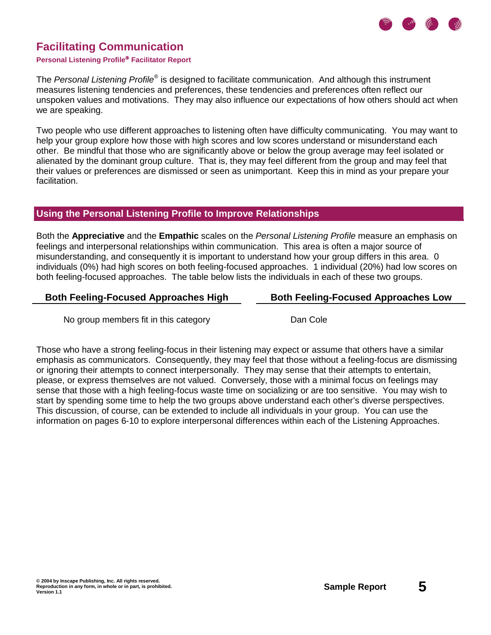

#### **Personal Listening Profile Facilitator Report**

The Personal Listening Profile<sup>®</sup> is designed to facilitate communication. And although this instrument measures listening tendencies and preferences, these tendencies and preferences often reflect our unspoken values and motivations. They may also influence our expectations of how others should act when we are speaking.

Two people who use different approaches to listening often have difficulty communicating. You may want to help your group explore how those with high scores and low scores understand or misunderstand each other. Be mindful that those who are significantly above or below the group average may feel isolated or alienated by the dominant group culture. That is, they may feel different from the group and may feel that their values or preferences are dismissed or seen as unimportant. Keep this in mind as your prepare your facilitation.

### **Using the Personal Listening Profile to Improve Relationships**

Both the **Appreciative** and the **Empathic** scales on the Personal Listening Profile measure an emphasis on feelings and interpersonal relationships within communication. This area is often a major source of misunderstanding, and consequently it is important to understand how your group differs in this area. 0 individuals (0%) had high scores on both feeling-focused approaches. 1 individual (20%) had low scores on both feeling-focused approaches. The table below lists the individuals in each of these two groups.

#### **Both Feeling-Focused Approaches High Both Feeling-Focused Approaches Low**

No group members fit in this category **Example 20** Dan Cole

Those who have a strong feeling-focus in their listening may expect or assume that others have a similar emphasis as communicators. Consequently, they may feel that those without a feeling-focus are dismissing or ignoring their attempts to connect interpersonally. They may sense that their attempts to entertain, please, or express themselves are not valued. Conversely, those with a minimal focus on feelings may sense that those with a high feeling-focus waste time on socializing or are too sensitive. You may wish to start by spending some time to help the two groups above understand each other's diverse perspectives. This discussion, of course, can be extended to include all individuals in your group. You can use the information on pages 6-10 to explore interpersonal differences within each of the Listening Approaches.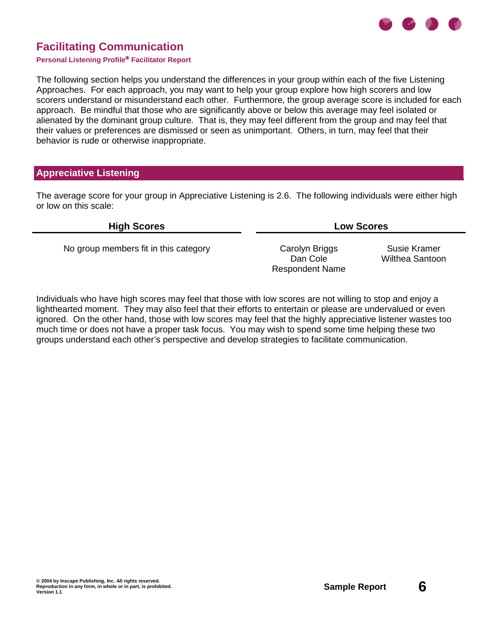

#### **Personal Listening Profile® Facilitator Report**

The following section helps you understand the differences in your group within each of the five Listening Approaches. For each approach, you may want to help your group explore how high scorers and low scorers understand or misunderstand each other. Furthermore, the group average score is included for each approach. Be mindful that those who are significantly above or below this average may feel isolated or alienated by the dominant group culture. That is, they may feel different from the group and may feel that their values or preferences are dismissed or seen as unimportant. Others, in turn, may feel that their behavior is rude or otherwise inappropriate.

### **Appreciative Listening**

The average score for your group in Appreciative Listening is 2.6. The following individuals were either high or low on this scale:

No group members fit in this category Carolyn Briggs

Dan Cole Respondent Name

**High Scores Low Scores**

Susie Kramer Wilthea Santoon

Individuals who have high scores may feel that those with low scores are not willing to stop and enjoy a lighthearted moment. They may also feel that their efforts to entertain or please are undervalued or even ignored. On the other hand, those with low scores may feel that the highly appreciative listener wastes too much time or does not have a proper task focus. You may wish to spend some time helping these two groups understand each other's perspective and develop strategies to facilitate communication.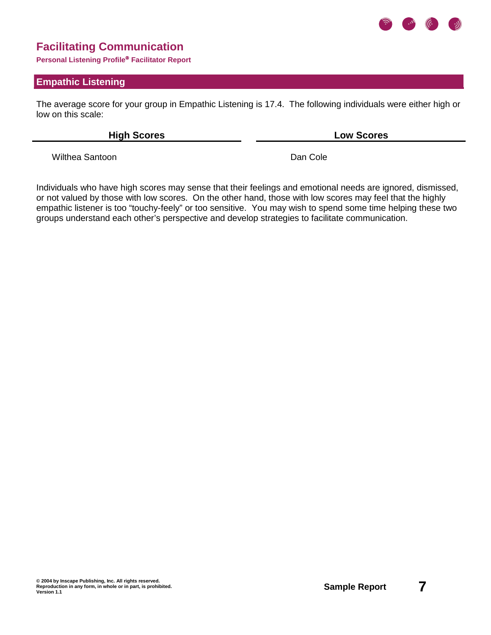

**Personal Listening Profile Facilitator Report**

#### **Empathic Listening**

The average score for your group in Empathic Listening is 17.4. The following individuals were either high or low on this scale:

**High Scores Low Scores**

Wilthea Santoon **Dan Cole** 

Individuals who have high scores may sense that their feelings and emotional needs are ignored, dismissed, or not valued by those with low scores. On the other hand, those with low scores may feel that the highly empathic listener is too "touchy-feely" or too sensitive. You may wish to spend some time helping these two groups understand each other's perspective and develop strategies to facilitate communication.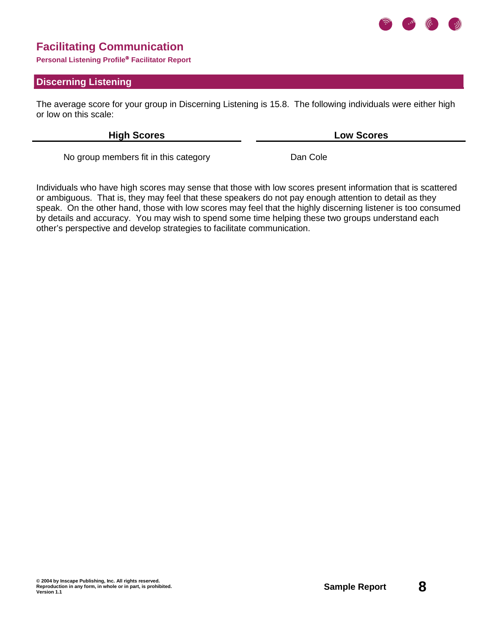

**Personal Listening Profile Facilitator Report**

### **Discerning Listening**

The average score for your group in Discerning Listening is 15.8. The following individuals were either high or low on this scale:

**High Scores Low Scores**

No group members fit in this category **Dan Cole** 

Individuals who have high scores may sense that those with low scores present information that is scattered or ambiguous. That is, they may feel that these speakers do not pay enough attention to detail as they speak. On the other hand, those with low scores may feel that the highly discerning listener is too consumed by details and accuracy. You may wish to spend some time helping these two groups understand each other's perspective and develop strategies to facilitate communication.

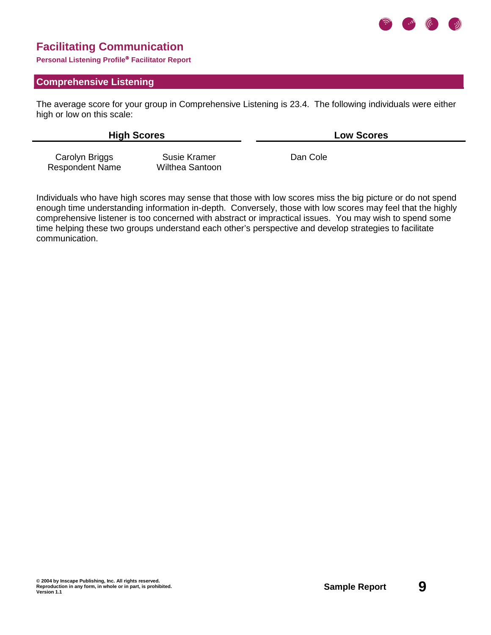

**Personal Listening Profile Facilitator Report**

#### **Comprehensive Listening**

The average score for your group in Comprehensive Listening is 23.4. The following individuals were either high or low on this scale:

**High Scores Low Scores**

Carolyn Briggs Respondent Name

Susie Kramer Wilthea Santoon

Dan Cole

Individuals who have high scores may sense that those with low scores miss the big picture or do not spend enough time understanding information in-depth. Conversely, those with low scores may feel that the highly comprehensive listener is too concerned with abstract or impractical issues. You may wish to spend some time helping these two groups understand each other's perspective and develop strategies to facilitate communication.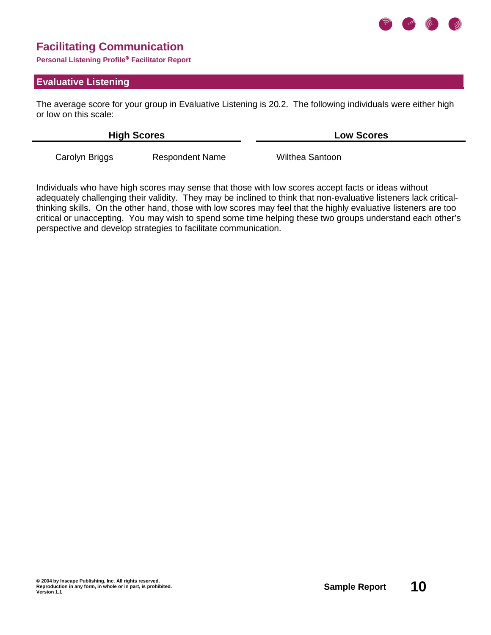

**Personal Listening Profile Facilitator Report**

#### **Evaluative Listening**

The average score for your group in Evaluative Listening is 20.2. The following individuals were either high or low on this scale:

| <b>High Scores</b> |                        | <b>Low Scores</b> |  |
|--------------------|------------------------|-------------------|--|
| Carolyn Briggs     | <b>Respondent Name</b> | Wilthea Santoon   |  |

Individuals who have high scores may sense that those with low scores accept facts or ideas without adequately challenging their validity. They may be inclined to think that non-evaluative listeners lack criticalthinking skills. On the other hand, those with low scores may feel that the highly evaluative listeners are too critical or unaccepting. You may wish to spend some time helping these two groups understand each other's perspective and develop strategies to facilitate communication.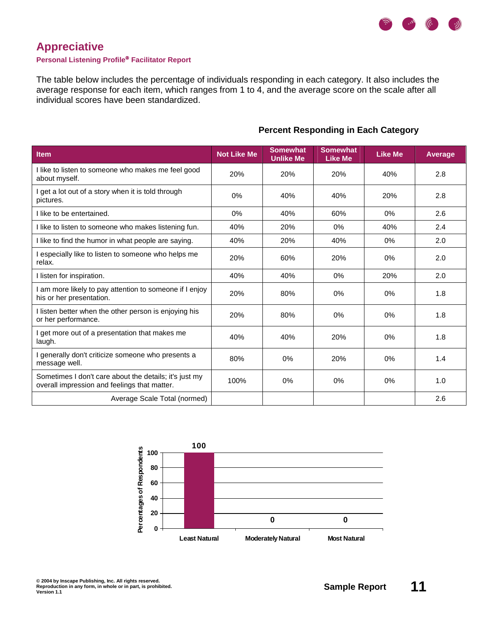

### **Appreciative**

#### **Personal Listening Profile Facilitator Report**

The table below includes the percentage of individuals responding in each category. It also includes the average response for each item, which ranges from 1 to 4, and the average score on the scale after all individual scores have been standardized.

| <b>Item</b>                                                                                            | <b>Not Like Me</b> | <b>Somewhat</b><br><b>Unlike Me</b> | <b>Somewhat</b><br><b>Like Me</b> | <b>Like Me</b> | <b>Average</b> |
|--------------------------------------------------------------------------------------------------------|--------------------|-------------------------------------|-----------------------------------|----------------|----------------|
| I like to listen to someone who makes me feel good<br>about myself.                                    | 20%                | 20%                                 | 20%                               | 40%            | 2.8            |
| I get a lot out of a story when it is told through<br>pictures.                                        | 0%                 | 40%                                 | 40%                               | 20%            | 2.8            |
| I like to be entertained.                                                                              | 0%                 | 40%                                 | 60%                               | 0%             | 2.6            |
| I like to listen to someone who makes listening fun.                                                   | 40%                | 20%                                 | 0%                                | 40%            | 2.4            |
| I like to find the humor in what people are saying.                                                    | 40%                | 20%                                 | 40%                               | 0%             | 2.0            |
| I especially like to listen to someone who helps me<br>relax.                                          | 20%                | 60%                                 | 20%                               | 0%             | 2.0            |
| I listen for inspiration.                                                                              | 40%                | 40%                                 | 0%                                | 20%            | 2.0            |
| I am more likely to pay attention to someone if I enjoy<br>his or her presentation.                    | 20%                | 80%                                 | 0%                                | 0%             | 1.8            |
| I listen better when the other person is enjoying his<br>or her performance.                           | 20%                | 80%                                 | 0%                                | 0%             | 1.8            |
| I get more out of a presentation that makes me<br>laugh.                                               | 40%                | 40%                                 | 20%                               | 0%             | 1.8            |
| generally don't criticize someone who presents a<br>message well.                                      | 80%                | 0%                                  | 20%                               | 0%             | 1.4            |
| Sometimes I don't care about the details; it's just my<br>overall impression and feelings that matter. | 100%               | 0%                                  | 0%                                | 0%             | 1.0            |
| Average Scale Total (normed)                                                                           |                    |                                     |                                   |                | 2.6            |

### **Percent Responding in Each Category**

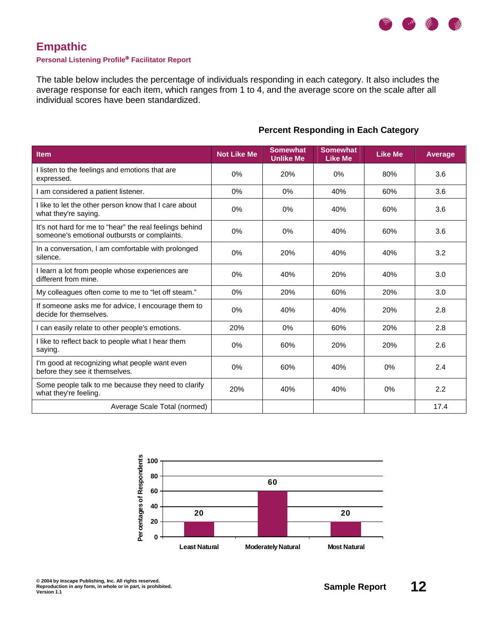

### **Empathic**

#### **Personal Listening Profile Facilitator Report**

The table below includes the percentage of individuals responding in each category. It also includes the average response for each item, which ranges from 1 to 4, and the average score on the scale after all individual scores have been standardized.

| Item                                                                                                    | <b>Not Like Me</b> | <b>Somewhat</b><br><b>Unlike Me</b> | <b>Somewhat</b><br><b>Like Me</b> | <b>Like Me</b> | <b>Average</b> |
|---------------------------------------------------------------------------------------------------------|--------------------|-------------------------------------|-----------------------------------|----------------|----------------|
| I listen to the feelings and emotions that are<br>expressed.                                            | $0\%$              | 20%                                 | 0%                                | 80%            | 3.6            |
| I am considered a patient listener.                                                                     | 0%                 | 0%                                  | 40%                               | 60%            | 3.6            |
| I like to let the other person know that I care about<br>what they're saying.                           | 0%                 | 0%                                  | 40%                               | 60%            | 3.6            |
| It's not hard for me to "hear" the real feelings behind<br>someone's emotional outbursts or complaints. | 0%                 | 0%                                  | 40%                               | 60%            | 3.6            |
| In a conversation, I am comfortable with prolonged<br>silence.                                          | $0\%$              | 20%                                 | 40%                               | 40%            | 3.2            |
| I learn a lot from people whose experiences are<br>different from mine.                                 | 0%                 | 40%                                 | 20%                               | 40%            | 3.0            |
| My colleagues often come to me to "let off steam."                                                      | $0\%$              | 20%                                 | 60%                               | 20%            | 3.0            |
| If someone asks me for advice, I encourage them to<br>decide for themselves.                            | 0%                 | 40%                                 | 40%                               | 20%            | 2.8            |
| I can easily relate to other people's emotions.                                                         | 20%                | 0%                                  | 60%                               | 20%            | 2.8            |
| I like to reflect back to people what I hear them<br>saying.                                            | $0\%$              | 60%                                 | 20%                               | 20%            | 2.6            |
| I'm good at recognizing what people want even<br>before they see it themselves.                         | 0%                 | 60%                                 | 40%                               | 0%             | 2.4            |
| Some people talk to me because they need to clarify<br>what they're feeling.                            | 20%                | 40%                                 | 40%                               | 0%             | 2.2            |
| Average Scale Total (normed)                                                                            |                    |                                     |                                   |                | 17.4           |

### **Percent Responding in Each Category**

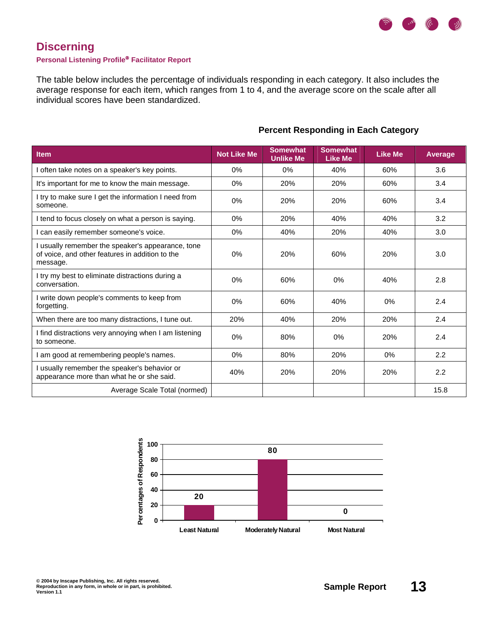

# **Discerning**

#### **Personal Listening Profile Facilitator Report**

The table below includes the percentage of individuals responding in each category. It also includes the average response for each item, which ranges from 1 to 4, and the average score on the scale after all individual scores have been standardized.

| <b>Item</b>                                                                                                    | <b>Not Like Me</b> | <b>Somewhat</b><br><b>Unlike Me</b> | <b>Somewhat</b><br><b>Like Me</b> | <b>Like Me</b> | <b>Average</b> |
|----------------------------------------------------------------------------------------------------------------|--------------------|-------------------------------------|-----------------------------------|----------------|----------------|
| often take notes on a speaker's key points.                                                                    | 0%                 | 0%                                  | 40%                               | 60%            | 3.6            |
| It's important for me to know the main message.                                                                | 0%                 | 20%                                 | 20%                               | 60%            | 3.4            |
| I try to make sure I get the information I need from<br>someone.                                               | 0%                 | 20%                                 | 20%                               | 60%            | 3.4            |
| I tend to focus closely on what a person is saying.                                                            | 0%                 | 20%                                 | 40%                               | 40%            | 3.2            |
| can easily remember someone's voice.                                                                           | 0%                 | 40%                                 | 20%                               | 40%            | 3.0            |
| usually remember the speaker's appearance, tone<br>of voice, and other features in addition to the<br>message. | 0%                 | 20%                                 | 60%                               | 20%            | 3.0            |
| I try my best to eliminate distractions during a<br>conversation.                                              | 0%                 | 60%                                 | 0%                                | 40%            | 2.8            |
| I write down people's comments to keep from<br>forgetting.                                                     | 0%                 | 60%                                 | 40%                               | 0%             | 2.4            |
| When there are too many distractions, I tune out.                                                              | 20%                | 40%                                 | 20%                               | 20%            | 2.4            |
| I find distractions very annoying when I am listening<br>to someone.                                           | 0%                 | 80%                                 | 0%                                | 20%            | 2.4            |
| am good at remembering people's names.                                                                         | $0\%$              | 80%                                 | 20%                               | 0%             | 2.2            |
| usually remember the speaker's behavior or<br>appearance more than what he or she said.                        | 40%                | 20%                                 | 20%                               | 20%            | 2.2            |
| Average Scale Total (normed)                                                                                   |                    |                                     |                                   |                | 15.8           |

#### **Percent Responding in Each Category**

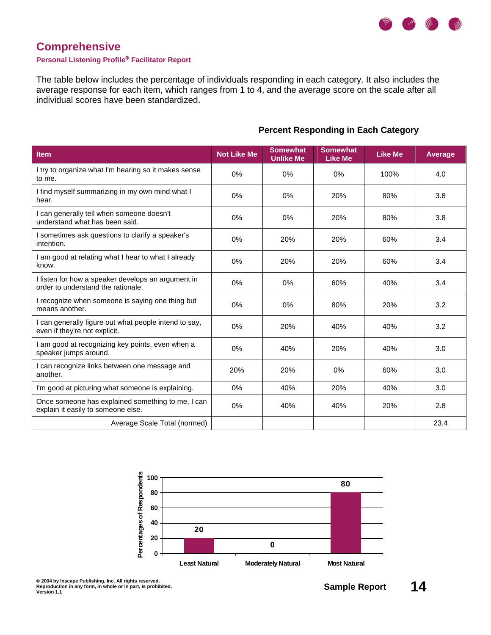

# **Comprehensive**

#### **Personal Listening Profile Facilitator Report**

The table below includes the percentage of individuals responding in each category. It also includes the average response for each item, which ranges from 1 to 4, and the average score on the scale after all individual scores have been standardized.

| <b>Item</b>                                                                              | <b>Not Like Me</b> | <b>Somewhat</b><br><b>Unlike Me</b> | <b>Somewhat</b><br><b>Like Me</b> | <b>Like Me</b> | <b>Average</b> |
|------------------------------------------------------------------------------------------|--------------------|-------------------------------------|-----------------------------------|----------------|----------------|
| I try to organize what I'm hearing so it makes sense<br>to me.                           | $0\%$              | 0%                                  | $0\%$                             | 100%           | 4.0            |
| I find myself summarizing in my own mind what I<br>hear.                                 | $0\%$              | 0%                                  | 20%                               | 80%            | 3.8            |
| I can generally tell when someone doesn't<br>understand what has been said.              | 0%                 | 0%                                  | 20%                               | 80%            | 3.8            |
| I sometimes ask questions to clarify a speaker's<br>intention.                           | 0%                 | 20%                                 | 20%                               | 60%            | 3.4            |
| I am good at relating what I hear to what I already<br>know.                             | 0%                 | 20%                                 | 20%                               | 60%            | 3.4            |
| I listen for how a speaker develops an argument in<br>order to understand the rationale. | 0%                 | 0%                                  | 60%                               | 40%            | 3.4            |
| I recognize when someone is saying one thing but<br>means another.                       | 0%                 | 0%                                  | 80%                               | 20%            | 3.2            |
| I can generally figure out what people intend to say,<br>even if they're not explicit.   | 0%                 | 20%                                 | 40%                               | 40%            | 3.2            |
| I am good at recognizing key points, even when a<br>speaker jumps around.                | 0%                 | 40%                                 | 20%                               | 40%            | 3.0            |
| I can recognize links between one message and<br>another.                                | 20%                | 20%                                 | 0%                                | 60%            | 3.0            |
| I'm good at picturing what someone is explaining.                                        | 0%                 | 40%                                 | 20%                               | 40%            | 3.0            |
| Once someone has explained something to me, I can<br>explain it easily to someone else.  | 0%                 | 40%                                 | 40%                               | 20%            | 2.8            |
| Average Scale Total (normed)                                                             |                    |                                     |                                   |                | 23.4           |

### **Percent Responding in Each Category**

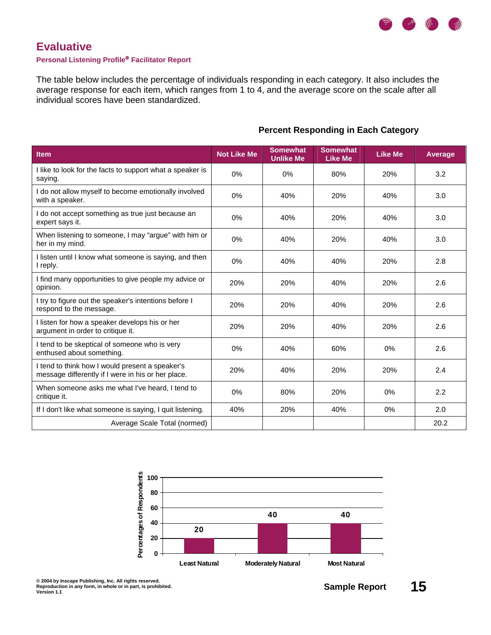

### **Evaluative**

#### **Personal Listening Profile Facilitator Report**

The table below includes the percentage of individuals responding in each category. It also includes the average response for each item, which ranges from 1 to 4, and the average score on the scale after all individual scores have been standardized.

| <b>Item</b>                                                                                           | <b>Not Like Me</b> | <b>Somewhat</b><br><b>Unlike Me</b> | <b>Somewhat</b><br><b>Like Me</b> | <b>Like Me</b> | <b>Average</b> |
|-------------------------------------------------------------------------------------------------------|--------------------|-------------------------------------|-----------------------------------|----------------|----------------|
| I like to look for the facts to support what a speaker is<br>saying.                                  | $0\%$              | 0%                                  | 80%                               | 20%            | 3.2            |
| I do not allow myself to become emotionally involved<br>with a speaker.                               | 0%                 | 40%                                 | 20%                               | 40%            | 3.0            |
| I do not accept something as true just because an<br>expert says it.                                  | 0%                 | 40%                                 | 20%                               | 40%            | 3.0            |
| When listening to someone, I may "argue" with him or<br>her in my mind.                               | 0%                 | 40%                                 | 20%                               | 40%            | 3.0            |
| I listen until I know what someone is saying, and then<br>I reply.                                    | 0%                 | 40%                                 | 40%                               | 20%            | 2.8            |
| I find many opportunities to give people my advice or<br>opinion.                                     | 20%                | 20%                                 | 40%                               | 20%            | 2.6            |
| I try to figure out the speaker's intentions before I<br>respond to the message.                      | 20%                | 20%                                 | 40%                               | 20%            | 2.6            |
| I listen for how a speaker develops his or her<br>argument in order to critique it.                   | 20%                | 20%                                 | 40%                               | 20%            | 2.6            |
| I tend to be skeptical of someone who is very<br>enthused about something.                            | 0%                 | 40%                                 | 60%                               | 0%             | 2.6            |
| I tend to think how I would present a speaker's<br>message differently if I were in his or her place. | 20%                | 40%                                 | 20%                               | 20%            | 2.4            |
| When someone asks me what I've heard, I tend to<br>critique it.                                       | 0%                 | 80%                                 | 20%                               | 0%             | 2.2            |
| If I don't like what someone is saying, I quit listening.                                             | 40%                | 20%                                 | 40%                               | 0%             | 2.0            |
| Average Scale Total (normed)                                                                          |                    |                                     |                                   |                | 20.2           |

### **Percent Responding in Each Category**